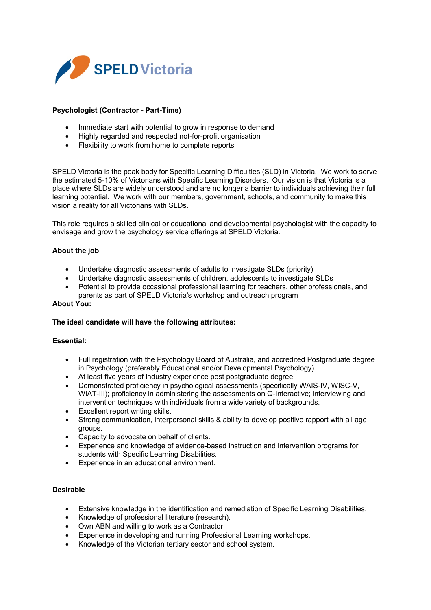

# **Psychologist (Contractor - Part-Time)**

- Immediate start with potential to grow in response to demand
- Highly regarded and respected not-for-profit organisation
- Flexibility to work from home to complete reports

SPELD Victoria is the peak body for Specific Learning Difficulties (SLD) in Victoria. We work to serve the estimated 5-10% of Victorians with Specific Learning Disorders. Our vision is that Victoria is a place where SLDs are widely understood and are no longer a barrier to individuals achieving their full learning potential. We work with our members, government, schools, and community to make this vision a reality for all Victorians with SLDs.

This role requires a skilled clinical or educational and developmental psychologist with the capacity to envisage and grow the psychology service offerings at SPELD Victoria.

# **About the job**

- Undertake diagnostic assessments of adults to investigate SLDs (priority)
- Undertake diagnostic assessments of children, adolescents to investigate SLDs
- Potential to provide occasional professional learning for teachers, other professionals, and parents as part of SPELD Victoria's workshop and outreach program

#### **About You:**

## **The ideal candidate will have the following attributes:**

## **Essential:**

- Full registration with the Psychology Board of Australia, and accredited Postgraduate degree in Psychology (preferably Educational and/or Developmental Psychology).
- At least five years of industry experience post postgraduate degree
- Demonstrated proficiency in psychological assessments (specifically WAIS-IV, WISC-V, WIAT-III); proficiency in administering the assessments on Q-Interactive; interviewing and intervention techniques with individuals from a wide variety of backgrounds.
- Excellent report writing skills.
- Strong communication, interpersonal skills & ability to develop positive rapport with all age groups.
- Capacity to advocate on behalf of clients.
- Experience and knowledge of evidence-based instruction and intervention programs for students with Specific Learning Disabilities.
- Experience in an educational environment.

## **Desirable**

- Extensive knowledge in the identification and remediation of Specific Learning Disabilities.
- Knowledge of professional literature (research).
- Own ABN and willing to work as a Contractor
- Experience in developing and running Professional Learning workshops.
- Knowledge of the Victorian tertiary sector and school system.